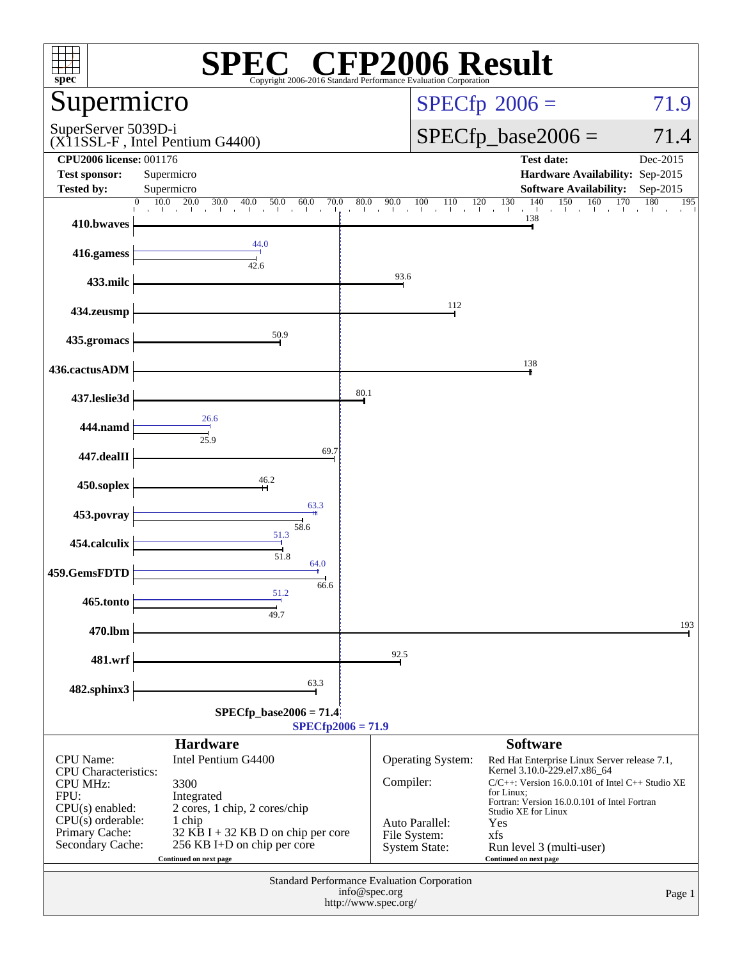| $spec^*$                                                                                 | Copyright 2006-2016 Standard Performance Evaluation Cornoration                                         |                                       | <b>CFP2006 Result</b>                              |                                                                                                                                                                                                                       |                               |
|------------------------------------------------------------------------------------------|---------------------------------------------------------------------------------------------------------|---------------------------------------|----------------------------------------------------|-----------------------------------------------------------------------------------------------------------------------------------------------------------------------------------------------------------------------|-------------------------------|
| Supermicro                                                                               |                                                                                                         |                                       |                                                    | $SPECfp^{\circ}2006 =$                                                                                                                                                                                                | 71.9                          |
| SuperServer 5039D-i                                                                      | (X11SSL-F, Intel Pentium G4400)                                                                         |                                       |                                                    | $SPECfp\_base2006 =$                                                                                                                                                                                                  | 71.4                          |
| <b>CPU2006 license: 001176</b><br><b>Test sponsor:</b>                                   | Supermicro                                                                                              |                                       |                                                    | <b>Test date:</b><br>Hardware Availability: Sep-2015                                                                                                                                                                  | Dec-2015                      |
| <b>Tested by:</b>                                                                        | Supermicro<br>10.0<br>20.0<br>30.0<br>$\mathbf{0}$<br>40.0                                              |                                       |                                                    | <b>Software Availability:</b><br>140<br>150<br>160<br>120                                                                                                                                                             | Sep-2015<br>170<br>180<br>195 |
| 410.bwaves                                                                               | 50.0<br>$\frac{60.0}{1}$<br>70.0<br>$\sim$ 1                                                            | $\frac{80.0}{1}$<br>90.0              | 100<br>110                                         | $\frac{130}{1}$<br>says the artist.<br>138                                                                                                                                                                            |                               |
| 416.gamess                                                                               | 44.0<br>42.6                                                                                            |                                       |                                                    |                                                                                                                                                                                                                       |                               |
| 433.milc                                                                                 |                                                                                                         |                                       | 93.6                                               |                                                                                                                                                                                                                       |                               |
| 434.zeusmp                                                                               |                                                                                                         |                                       | 112                                                |                                                                                                                                                                                                                       |                               |
| 435.gromacs                                                                              | 50.9                                                                                                    |                                       |                                                    |                                                                                                                                                                                                                       |                               |
| 436.cactusADM                                                                            |                                                                                                         |                                       |                                                    | 138                                                                                                                                                                                                                   |                               |
| 437.leslie3d                                                                             |                                                                                                         | 80.1                                  |                                                    |                                                                                                                                                                                                                       |                               |
| 444.namd                                                                                 | 26.6<br>25.9                                                                                            |                                       |                                                    |                                                                                                                                                                                                                       |                               |
| 447.dealII                                                                               | 69.7                                                                                                    |                                       |                                                    |                                                                                                                                                                                                                       |                               |
| 450.soplex                                                                               | 46.2                                                                                                    |                                       |                                                    |                                                                                                                                                                                                                       |                               |
| 453.povray                                                                               | 63.3<br>58.6                                                                                            |                                       |                                                    |                                                                                                                                                                                                                       |                               |
| 454.calculix                                                                             | 51.3<br>51.8                                                                                            |                                       |                                                    |                                                                                                                                                                                                                       |                               |
| 459.GemsFDTD                                                                             | 64.0<br>66.6                                                                                            |                                       |                                                    |                                                                                                                                                                                                                       |                               |
| 465.tonto                                                                                | 51.2<br>49.7                                                                                            |                                       |                                                    |                                                                                                                                                                                                                       |                               |
| 470.lbm                                                                                  |                                                                                                         |                                       |                                                    |                                                                                                                                                                                                                       | 193                           |
| 481.wrf                                                                                  |                                                                                                         | 92.5                                  |                                                    |                                                                                                                                                                                                                       |                               |
| 482.sphinx3                                                                              | 63.3                                                                                                    |                                       |                                                    |                                                                                                                                                                                                                       |                               |
|                                                                                          | $SPECfp\_base2006 = 71.4$                                                                               | $SPECfp2006 = 71.9$                   |                                                    |                                                                                                                                                                                                                       |                               |
|                                                                                          | <b>Hardware</b>                                                                                         |                                       |                                                    | <b>Software</b>                                                                                                                                                                                                       |                               |
| CPU Name:<br><b>CPU</b> Characteristics:<br><b>CPU MHz:</b><br>FPU:<br>$CPU(s)$ enabled: | Intel Pentium G4400<br>3300<br>Integrated<br>2 cores, 1 chip, 2 cores/chip                              |                                       | Operating System:<br>Compiler:                     | Red Hat Enterprise Linux Server release 7.1,<br>Kernel 3.10.0-229.el7.x86_64<br>C/C++: Version 16.0.0.101 of Intel C++ Studio XE<br>for Linux:<br>Fortran: Version 16.0.0.101 of Intel Fortran<br>Studio XE for Linux |                               |
| $CPU(s)$ orderable:<br>Primary Cache:<br>Secondary Cache:                                | 1 chip<br>$32$ KB I + 32 KB D on chip per core<br>256 KB I+D on chip per core<br>Continued on next page |                                       | Auto Parallel:<br>File System:<br>System State:    | Yes<br>xfs<br>Run level 3 (multi-user)<br>Continued on next page                                                                                                                                                      |                               |
|                                                                                          |                                                                                                         | info@spec.org<br>http://www.spec.org/ | <b>Standard Performance Evaluation Corporation</b> |                                                                                                                                                                                                                       | Page 1                        |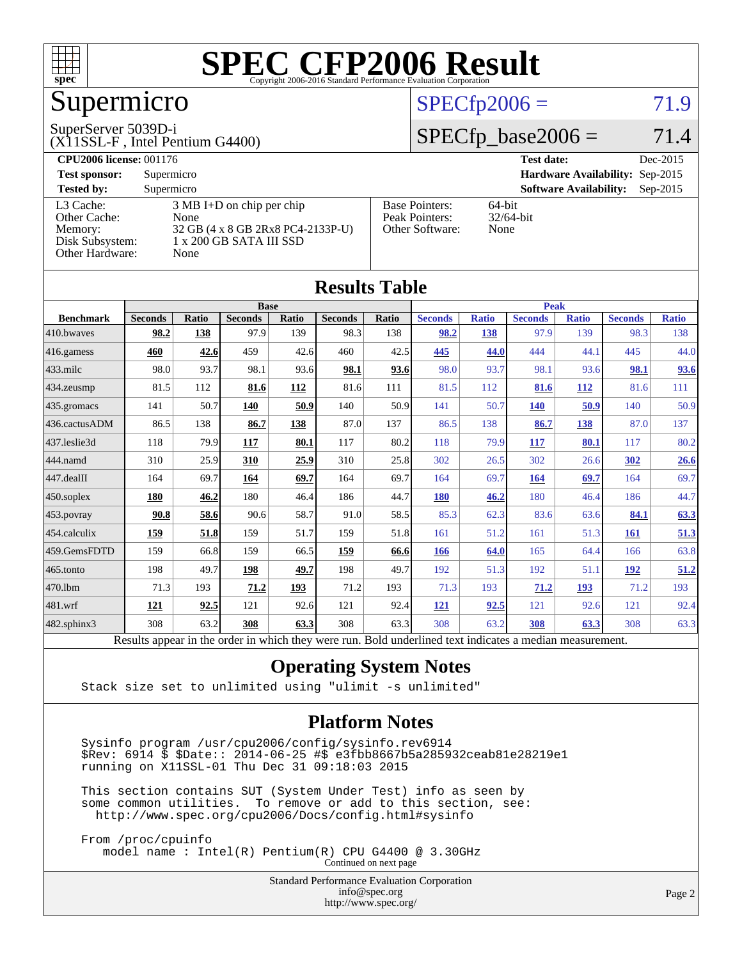

# Supermicro

#### SuperServer 5039D-i

#### (X11SSL-F , Intel Pentium G4400)

### $SPECTp2006 = 71.9$

# $SPECTp\_base2006 = 71.4$

| <b>CPU2006 license: 001176</b> |                                     |                       | <b>Test date:</b><br>Dec-2015               |
|--------------------------------|-------------------------------------|-----------------------|---------------------------------------------|
| <b>Test sponsor:</b>           | Supermicro                          |                       | Hardware Availability: Sep-2015             |
| <b>Tested by:</b>              | Supermicro                          |                       | <b>Software Availability:</b><br>$Sep-2015$ |
| L3 Cache:                      | $3 \text{ MB I+D}$ on chip per chip | <b>Base Pointers:</b> | $64$ -bit                                   |
| Other Cache:                   | None                                | Peak Pointers:        | $32/64$ -bit                                |
| Memory:                        | 32 GB (4 x 8 GB 2Rx8 PC4-2133P-U)   | Other Software:       | None                                        |
| Disk Subsystem:                | 1 x 200 GB SATA III SSD             |                       |                                             |
| Other Hardware:                | None                                |                       |                                             |

**[Results Table](http://www.spec.org/auto/cpu2006/Docs/result-fields.html#ResultsTable)**

| Results Table    |                                                                                                          |              |                |       |                |             |                |              |                |              |                |              |
|------------------|----------------------------------------------------------------------------------------------------------|--------------|----------------|-------|----------------|-------------|----------------|--------------|----------------|--------------|----------------|--------------|
|                  | <b>Base</b>                                                                                              |              |                |       |                | <b>Peak</b> |                |              |                |              |                |              |
| <b>Benchmark</b> | <b>Seconds</b>                                                                                           | <b>Ratio</b> | <b>Seconds</b> | Ratio | <b>Seconds</b> | Ratio       | <b>Seconds</b> | <b>Ratio</b> | <b>Seconds</b> | <b>Ratio</b> | <b>Seconds</b> | <b>Ratio</b> |
| 410.bwayes       | 98.2                                                                                                     | 138          | 97.9           | 139   | 98.3           | 138         | 98.2           | 138          | 97.9           | 139          | 98.3           | 138          |
| 416.gamess       | 460                                                                                                      | 42.6         | 459            | 42.6  | 460            | 42.5        | 445            | 44.0         | 444            | 44.1         | 445            | 44.0         |
| $433$ .milc      | 98.0                                                                                                     | 93.7         | 98.1           | 93.6  | 98.1           | 93.6        | 98.0           | 93.7         | 98.1           | 93.6         | 98.1           | 93.6         |
| 434.zeusmp       | 81.5                                                                                                     | 112          | 81.6           | 112   | 81.6           | 111         | 81.5           | 112          | 81.6           | 112          | 81.6           | 111          |
| 435.gromacs      | 141                                                                                                      | 50.7         | 140            | 50.9  | 140            | 50.9        | 141            | 50.7         | <b>140</b>     | 50.9         | 140            | 50.9         |
| 436.cactusADM    | 86.5                                                                                                     | 138          | 86.7           | 138   | 87.0           | 137         | 86.5           | 138          | 86.7           | 138          | 87.0           | 137          |
| 437.leslie3d     | 118                                                                                                      | 79.9         | 117            | 80.1  | 117            | 80.2        | 118            | 79.9         | 117            | 80.1         | 117            | 80.2         |
| 444.namd         | 310                                                                                                      | 25.9         | 310            | 25.9  | 310            | 25.8        | 302            | 26.5         | 302            | 26.6         | 302            | 26.6         |
| 447.dealII       | 164                                                                                                      | 69.7         | 164            | 69.7  | 164            | 69.7        | 164            | 69.7         | 164            | 69.7         | 164            | 69.7         |
| $450$ .soplex    | 180                                                                                                      | 46.2         | 180            | 46.4  | 186            | 44.7        | 180            | 46.2         | 180            | 46.4         | 186            | 44.7         |
| 453.povray       | 90.8                                                                                                     | 58.6         | 90.6           | 58.7  | 91.0           | 58.5        | 85.3           | 62.3         | 83.6           | 63.6         | 84.1           | 63.3         |
| 454.calculix     | 159                                                                                                      | 51.8         | 159            | 51.7  | 159            | 51.8        | 161            | 51.2         | 161            | 51.3         | 161            | 51.3         |
| 459.GemsFDTD     | 159                                                                                                      | 66.8         | 159            | 66.5  | 159            | 66.6        | 166            | 64.0         | 165            | 64.4         | 166            | 63.8         |
| 465.tonto        | 198                                                                                                      | 49.7         | 198            | 49.7  | 198            | 49.7        | 192            | 51.3         | 192            | 51.1         | 192            | 51.2         |
| 470.1bm          | 71.3                                                                                                     | 193          | 71.2           | 193   | 71.2           | 193         | 71.3           | 193          | 71.2           | 193          | 71.2           | 193          |
| 481.wrf          | 121                                                                                                      | 92.5         | 121            | 92.6  | 121            | 92.4        | <b>121</b>     | 92.5         | 121            | 92.6         | 121            | 92.4         |
| 482.sphinx3      | 308                                                                                                      | 63.2         | 308            | 63.3  | 308            | 63.3        | 308            | 63.2         | 308            | 63.3         | 308            | 63.3         |
|                  | Results appear in the order in which they were run. Bold underlined text indicates a median measurement. |              |                |       |                |             |                |              |                |              |                |              |

### **[Operating System Notes](http://www.spec.org/auto/cpu2006/Docs/result-fields.html#OperatingSystemNotes)**

Stack size set to unlimited using "ulimit -s unlimited"

#### **[Platform Notes](http://www.spec.org/auto/cpu2006/Docs/result-fields.html#PlatformNotes)**

 Sysinfo program /usr/cpu2006/config/sysinfo.rev6914 \$Rev: 6914 \$ \$Date:: 2014-06-25 #\$ e3fbb8667b5a285932ceab81e28219e1 running on X11SSL-01 Thu Dec 31 09:18:03 2015

 This section contains SUT (System Under Test) info as seen by some common utilities. To remove or add to this section, see: <http://www.spec.org/cpu2006/Docs/config.html#sysinfo>

 From /proc/cpuinfo model name : Intel(R) Pentium(R) CPU G4400 @ 3.30GHz Continued on next page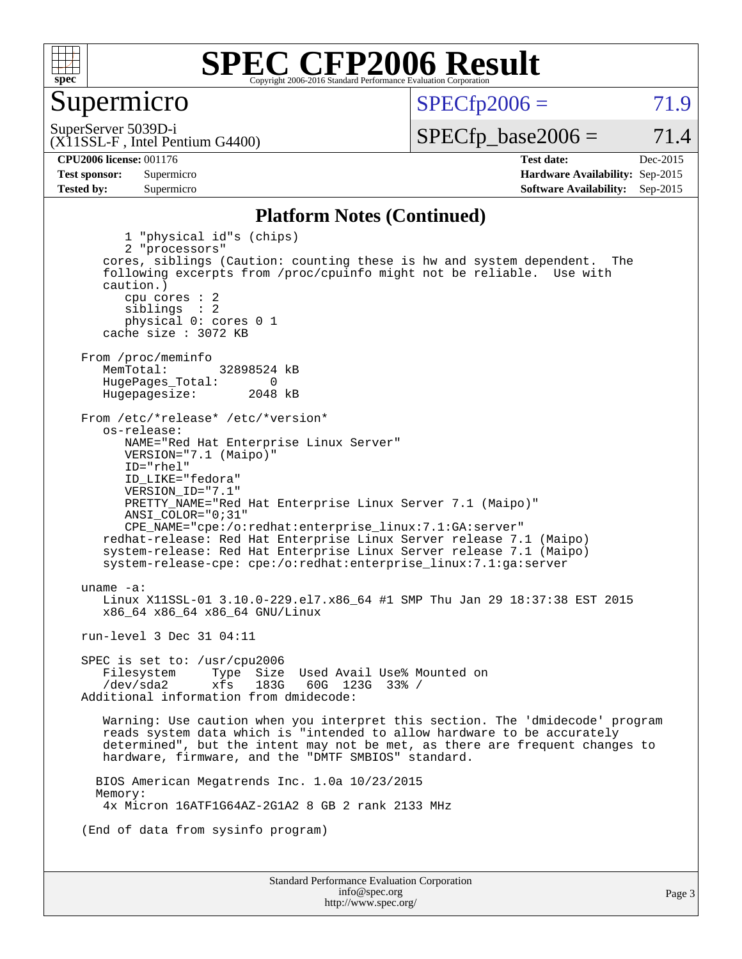

### Supermicro

 $SPECTp2006 = 71.9$ 

(X11SSL-F , Intel Pentium G4400) SuperServer 5039D-i

 $SPECfp\_base2006 = 71.4$ 

**[Tested by:](http://www.spec.org/auto/cpu2006/Docs/result-fields.html#Testedby)** Supermicro **Supermicro [Software Availability:](http://www.spec.org/auto/cpu2006/Docs/result-fields.html#SoftwareAvailability)** Sep-2015

**[CPU2006 license:](http://www.spec.org/auto/cpu2006/Docs/result-fields.html#CPU2006license)** 001176 **[Test date:](http://www.spec.org/auto/cpu2006/Docs/result-fields.html#Testdate)** Dec-2015 **[Test sponsor:](http://www.spec.org/auto/cpu2006/Docs/result-fields.html#Testsponsor)** Supermicro **[Hardware Availability:](http://www.spec.org/auto/cpu2006/Docs/result-fields.html#HardwareAvailability)** Sep-2015

#### **[Platform Notes \(Continued\)](http://www.spec.org/auto/cpu2006/Docs/result-fields.html#PlatformNotes)**

Standard Performance Evaluation Corporation [info@spec.org](mailto:info@spec.org) Page 3 1 "physical id"s (chips) 2 "processors" cores, siblings (Caution: counting these is hw and system dependent. The following excerpts from /proc/cpuinfo might not be reliable. Use with caution.) cpu cores : 2 siblings : 2 physical 0: cores 0 1 cache size : 3072 KB From /proc/meminfo<br>MemTotal: 32898524 kB HugePages\_Total: 0<br>Hugepagesize: 2048 kB Hugepagesize: From /etc/\*release\* /etc/\*version\* os-release: NAME="Red Hat Enterprise Linux Server" VERSION="7.1 (Maipo)" ID="rhel" ID\_LIKE="fedora" VERSION\_ID="7.1" PRETTY\_NAME="Red Hat Enterprise Linux Server 7.1 (Maipo)" ANSI\_COLOR="0;31" CPE\_NAME="cpe:/o:redhat:enterprise\_linux:7.1:GA:server" redhat-release: Red Hat Enterprise Linux Server release 7.1 (Maipo) system-release: Red Hat Enterprise Linux Server release 7.1 (Maipo) system-release-cpe: cpe:/o:redhat:enterprise\_linux:7.1:ga:server uname -a: Linux X11SSL-01 3.10.0-229.el7.x86\_64 #1 SMP Thu Jan 29 18:37:38 EST 2015 x86\_64 x86\_64 x86\_64 GNU/Linux run-level 3 Dec 31 04:11 SPEC is set to: /usr/cpu2006 Filesystem Type Size Used Avail Use% Mounted on<br>
/dev/sda2 xfs 183G 60G 123G 33% /  $60G$  123G 33% / Additional information from dmidecode: Warning: Use caution when you interpret this section. The 'dmidecode' program reads system data which is "intended to allow hardware to be accurately determined", but the intent may not be met, as there are frequent changes to hardware, firmware, and the "DMTF SMBIOS" standard. BIOS American Megatrends Inc. 1.0a 10/23/2015 Memory: 4x Micron 16ATF1G64AZ-2G1A2 8 GB 2 rank 2133 MHz (End of data from sysinfo program)

<http://www.spec.org/>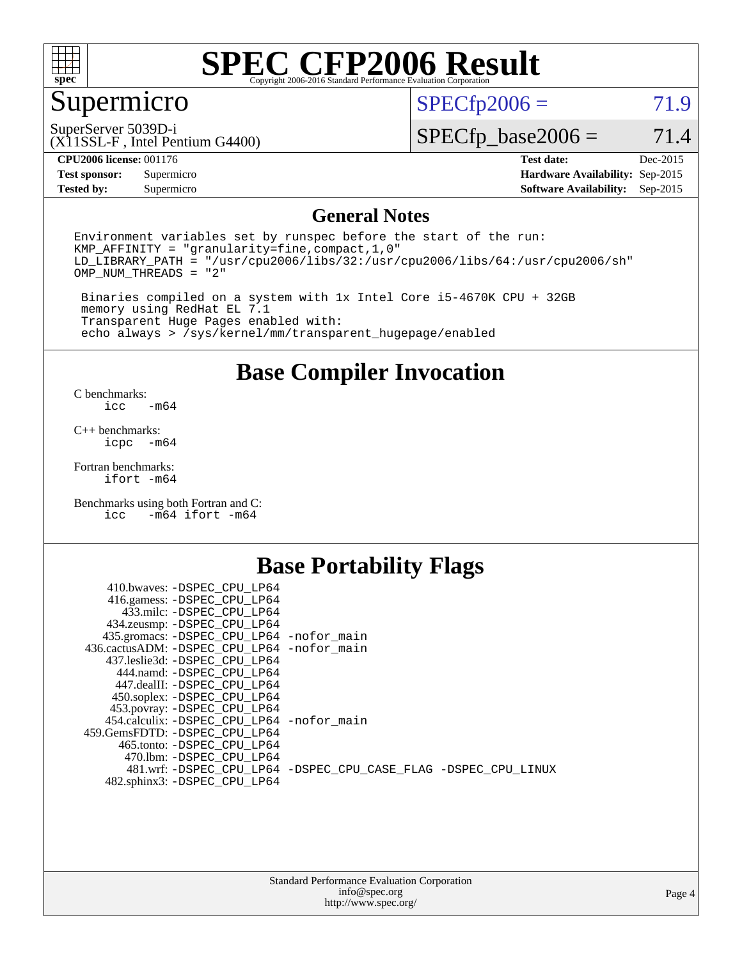

# Supermicro

 $SPECTp2006 = 71.9$ 

SuperServer 5039D-i

 $SPECfp\_base2006 = 71.4$ 

#### **[CPU2006 license:](http://www.spec.org/auto/cpu2006/Docs/result-fields.html#CPU2006license)** 001176 **[Test date:](http://www.spec.org/auto/cpu2006/Docs/result-fields.html#Testdate)** Dec-2015

**[Test sponsor:](http://www.spec.org/auto/cpu2006/Docs/result-fields.html#Testsponsor)** Supermicro **[Hardware Availability:](http://www.spec.org/auto/cpu2006/Docs/result-fields.html#HardwareAvailability)** Sep-2015 **[Tested by:](http://www.spec.org/auto/cpu2006/Docs/result-fields.html#Testedby)** Supermicro **Supermicro [Software Availability:](http://www.spec.org/auto/cpu2006/Docs/result-fields.html#SoftwareAvailability)** Sep-2015

(X11SSL-F , Intel Pentium G4400)

### **[General Notes](http://www.spec.org/auto/cpu2006/Docs/result-fields.html#GeneralNotes)**

Environment variables set by runspec before the start of the run: KMP\_AFFINITY = "granularity=fine,compact,1,0"  $LD$ <sup>LIBRARY\_PATH = "/usr/cpu2006/libs/32:/usr/cpu2006/libs/64:/usr/cpu2006/sh"</sup> OMP\_NUM\_THREADS = "2"

 Binaries compiled on a system with 1x Intel Core i5-4670K CPU + 32GB memory using RedHat EL 7.1 Transparent Huge Pages enabled with: echo always > /sys/kernel/mm/transparent\_hugepage/enabled

### **[Base Compiler Invocation](http://www.spec.org/auto/cpu2006/Docs/result-fields.html#BaseCompilerInvocation)**

[C benchmarks](http://www.spec.org/auto/cpu2006/Docs/result-fields.html#Cbenchmarks):  $-m64$ 

[C++ benchmarks:](http://www.spec.org/auto/cpu2006/Docs/result-fields.html#CXXbenchmarks) [icpc -m64](http://www.spec.org/cpu2006/results/res2016q1/cpu2006-20160106-38590.flags.html#user_CXXbase_intel_icpc_64bit_bedb90c1146cab66620883ef4f41a67e)

[Fortran benchmarks](http://www.spec.org/auto/cpu2006/Docs/result-fields.html#Fortranbenchmarks): [ifort -m64](http://www.spec.org/cpu2006/results/res2016q1/cpu2006-20160106-38590.flags.html#user_FCbase_intel_ifort_64bit_ee9d0fb25645d0210d97eb0527dcc06e)

[Benchmarks using both Fortran and C](http://www.spec.org/auto/cpu2006/Docs/result-fields.html#BenchmarksusingbothFortranandC):<br>icc -m64 ifort -m64  $-m64$  ifort  $-m64$ 

## **[Base Portability Flags](http://www.spec.org/auto/cpu2006/Docs/result-fields.html#BasePortabilityFlags)**

| 410.bwaves: -DSPEC CPU LP64                 |                                                                |
|---------------------------------------------|----------------------------------------------------------------|
| 416.gamess: -DSPEC_CPU_LP64                 |                                                                |
| 433.milc: -DSPEC CPU LP64                   |                                                                |
| 434.zeusmp: -DSPEC_CPU_LP64                 |                                                                |
| 435.gromacs: -DSPEC_CPU_LP64 -nofor_main    |                                                                |
| 436.cactusADM: -DSPEC CPU LP64 -nofor main  |                                                                |
| 437.leslie3d: -DSPEC CPU LP64               |                                                                |
| 444.namd: -DSPEC CPU LP64                   |                                                                |
| 447.dealII: -DSPEC CPU LP64                 |                                                                |
| 450.soplex: -DSPEC_CPU_LP64                 |                                                                |
| 453.povray: -DSPEC_CPU_LP64                 |                                                                |
| 454.calculix: - DSPEC CPU LP64 - nofor main |                                                                |
| 459. GemsFDTD: - DSPEC CPU LP64             |                                                                |
| 465.tonto: - DSPEC CPU LP64                 |                                                                |
| 470.1bm: - DSPEC CPU LP64                   |                                                                |
|                                             | 481.wrf: -DSPEC_CPU_LP64 -DSPEC_CPU_CASE_FLAG -DSPEC_CPU_LINUX |
| 482.sphinx3: -DSPEC_CPU_LP64                |                                                                |
|                                             |                                                                |

| <b>Standard Performance Evaluation Corporation</b> |
|----------------------------------------------------|
| info@spec.org                                      |
| http://www.spec.org/                               |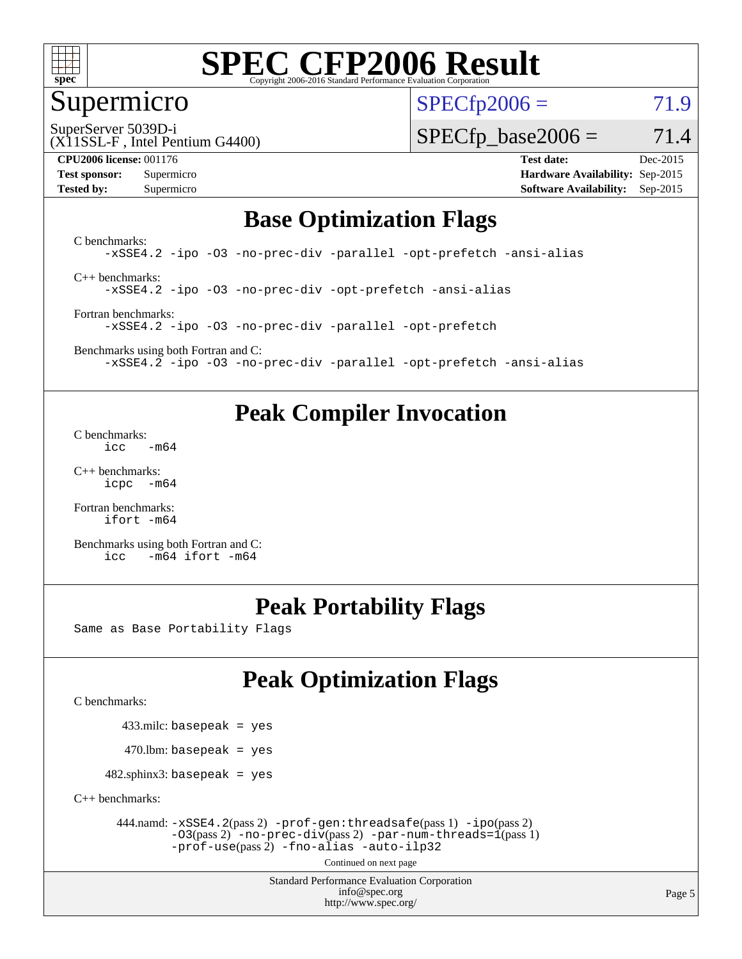

### Supermicro

 $SPECTp2006 = 71.9$ 

SuperServer 5039D-i

(X11SSL-F , Intel Pentium G4400)

**[Test sponsor:](http://www.spec.org/auto/cpu2006/Docs/result-fields.html#Testsponsor)** Supermicro **[Hardware Availability:](http://www.spec.org/auto/cpu2006/Docs/result-fields.html#HardwareAvailability)** Sep-2015 **[Tested by:](http://www.spec.org/auto/cpu2006/Docs/result-fields.html#Testedby)** Supermicro **Supermicro [Software Availability:](http://www.spec.org/auto/cpu2006/Docs/result-fields.html#SoftwareAvailability)** Sep-2015

 $SPECfp\_base2006 = 71.4$ **[CPU2006 license:](http://www.spec.org/auto/cpu2006/Docs/result-fields.html#CPU2006license)** 001176 **[Test date:](http://www.spec.org/auto/cpu2006/Docs/result-fields.html#Testdate)** Dec-2015

# **[Base Optimization Flags](http://www.spec.org/auto/cpu2006/Docs/result-fields.html#BaseOptimizationFlags)**

[C benchmarks](http://www.spec.org/auto/cpu2006/Docs/result-fields.html#Cbenchmarks): [-xSSE4.2](http://www.spec.org/cpu2006/results/res2016q1/cpu2006-20160106-38590.flags.html#user_CCbase_f-xSSE42_f91528193cf0b216347adb8b939d4107) [-ipo](http://www.spec.org/cpu2006/results/res2016q1/cpu2006-20160106-38590.flags.html#user_CCbase_f-ipo) [-O3](http://www.spec.org/cpu2006/results/res2016q1/cpu2006-20160106-38590.flags.html#user_CCbase_f-O3) [-no-prec-div](http://www.spec.org/cpu2006/results/res2016q1/cpu2006-20160106-38590.flags.html#user_CCbase_f-no-prec-div) [-parallel](http://www.spec.org/cpu2006/results/res2016q1/cpu2006-20160106-38590.flags.html#user_CCbase_f-parallel) [-opt-prefetch](http://www.spec.org/cpu2006/results/res2016q1/cpu2006-20160106-38590.flags.html#user_CCbase_f-opt-prefetch) [-ansi-alias](http://www.spec.org/cpu2006/results/res2016q1/cpu2006-20160106-38590.flags.html#user_CCbase_f-ansi-alias) [C++ benchmarks:](http://www.spec.org/auto/cpu2006/Docs/result-fields.html#CXXbenchmarks) [-xSSE4.2](http://www.spec.org/cpu2006/results/res2016q1/cpu2006-20160106-38590.flags.html#user_CXXbase_f-xSSE42_f91528193cf0b216347adb8b939d4107) [-ipo](http://www.spec.org/cpu2006/results/res2016q1/cpu2006-20160106-38590.flags.html#user_CXXbase_f-ipo) [-O3](http://www.spec.org/cpu2006/results/res2016q1/cpu2006-20160106-38590.flags.html#user_CXXbase_f-O3) [-no-prec-div](http://www.spec.org/cpu2006/results/res2016q1/cpu2006-20160106-38590.flags.html#user_CXXbase_f-no-prec-div) [-opt-prefetch](http://www.spec.org/cpu2006/results/res2016q1/cpu2006-20160106-38590.flags.html#user_CXXbase_f-opt-prefetch) [-ansi-alias](http://www.spec.org/cpu2006/results/res2016q1/cpu2006-20160106-38590.flags.html#user_CXXbase_f-ansi-alias) [Fortran benchmarks](http://www.spec.org/auto/cpu2006/Docs/result-fields.html#Fortranbenchmarks): [-xSSE4.2](http://www.spec.org/cpu2006/results/res2016q1/cpu2006-20160106-38590.flags.html#user_FCbase_f-xSSE42_f91528193cf0b216347adb8b939d4107) [-ipo](http://www.spec.org/cpu2006/results/res2016q1/cpu2006-20160106-38590.flags.html#user_FCbase_f-ipo) [-O3](http://www.spec.org/cpu2006/results/res2016q1/cpu2006-20160106-38590.flags.html#user_FCbase_f-O3) [-no-prec-div](http://www.spec.org/cpu2006/results/res2016q1/cpu2006-20160106-38590.flags.html#user_FCbase_f-no-prec-div) [-parallel](http://www.spec.org/cpu2006/results/res2016q1/cpu2006-20160106-38590.flags.html#user_FCbase_f-parallel) [-opt-prefetch](http://www.spec.org/cpu2006/results/res2016q1/cpu2006-20160106-38590.flags.html#user_FCbase_f-opt-prefetch) [Benchmarks using both Fortran and C](http://www.spec.org/auto/cpu2006/Docs/result-fields.html#BenchmarksusingbothFortranandC):

[-xSSE4.2](http://www.spec.org/cpu2006/results/res2016q1/cpu2006-20160106-38590.flags.html#user_CC_FCbase_f-xSSE42_f91528193cf0b216347adb8b939d4107) [-ipo](http://www.spec.org/cpu2006/results/res2016q1/cpu2006-20160106-38590.flags.html#user_CC_FCbase_f-ipo) [-O3](http://www.spec.org/cpu2006/results/res2016q1/cpu2006-20160106-38590.flags.html#user_CC_FCbase_f-O3) [-no-prec-div](http://www.spec.org/cpu2006/results/res2016q1/cpu2006-20160106-38590.flags.html#user_CC_FCbase_f-no-prec-div) [-parallel](http://www.spec.org/cpu2006/results/res2016q1/cpu2006-20160106-38590.flags.html#user_CC_FCbase_f-parallel) [-opt-prefetch](http://www.spec.org/cpu2006/results/res2016q1/cpu2006-20160106-38590.flags.html#user_CC_FCbase_f-opt-prefetch) [-ansi-alias](http://www.spec.org/cpu2006/results/res2016q1/cpu2006-20160106-38590.flags.html#user_CC_FCbase_f-ansi-alias)

### **[Peak Compiler Invocation](http://www.spec.org/auto/cpu2006/Docs/result-fields.html#PeakCompilerInvocation)**

[C benchmarks](http://www.spec.org/auto/cpu2006/Docs/result-fields.html#Cbenchmarks):  $-m64$ 

[C++ benchmarks:](http://www.spec.org/auto/cpu2006/Docs/result-fields.html#CXXbenchmarks) [icpc -m64](http://www.spec.org/cpu2006/results/res2016q1/cpu2006-20160106-38590.flags.html#user_CXXpeak_intel_icpc_64bit_bedb90c1146cab66620883ef4f41a67e)

[Fortran benchmarks](http://www.spec.org/auto/cpu2006/Docs/result-fields.html#Fortranbenchmarks): [ifort -m64](http://www.spec.org/cpu2006/results/res2016q1/cpu2006-20160106-38590.flags.html#user_FCpeak_intel_ifort_64bit_ee9d0fb25645d0210d97eb0527dcc06e)

[Benchmarks using both Fortran and C](http://www.spec.org/auto/cpu2006/Docs/result-fields.html#BenchmarksusingbothFortranandC): [icc -m64](http://www.spec.org/cpu2006/results/res2016q1/cpu2006-20160106-38590.flags.html#user_CC_FCpeak_intel_icc_64bit_0b7121f5ab7cfabee23d88897260401c) [ifort -m64](http://www.spec.org/cpu2006/results/res2016q1/cpu2006-20160106-38590.flags.html#user_CC_FCpeak_intel_ifort_64bit_ee9d0fb25645d0210d97eb0527dcc06e)

## **[Peak Portability Flags](http://www.spec.org/auto/cpu2006/Docs/result-fields.html#PeakPortabilityFlags)**

Same as Base Portability Flags

# **[Peak Optimization Flags](http://www.spec.org/auto/cpu2006/Docs/result-fields.html#PeakOptimizationFlags)**

[C benchmarks](http://www.spec.org/auto/cpu2006/Docs/result-fields.html#Cbenchmarks):

433.milc: basepeak = yes

 $470.$ lbm: basepeak = yes

482.sphinx3: basepeak = yes

[C++ benchmarks:](http://www.spec.org/auto/cpu2006/Docs/result-fields.html#CXXbenchmarks)

 444.namd: [-xSSE4.2](http://www.spec.org/cpu2006/results/res2016q1/cpu2006-20160106-38590.flags.html#user_peakPASS2_CXXFLAGSPASS2_LDFLAGS444_namd_f-xSSE42_f91528193cf0b216347adb8b939d4107)(pass 2) [-prof-gen:threadsafe](http://www.spec.org/cpu2006/results/res2016q1/cpu2006-20160106-38590.flags.html#user_peakPASS1_CXXFLAGSPASS1_LDFLAGS444_namd_prof_gen_21a26eb79f378b550acd7bec9fe4467a)(pass 1) [-ipo](http://www.spec.org/cpu2006/results/res2016q1/cpu2006-20160106-38590.flags.html#user_peakPASS2_CXXFLAGSPASS2_LDFLAGS444_namd_f-ipo)(pass 2)  $-03(pass 2)$  [-no-prec-div](http://www.spec.org/cpu2006/results/res2016q1/cpu2006-20160106-38590.flags.html#user_peakPASS2_CXXFLAGSPASS2_LDFLAGS444_namd_f-no-prec-div)(pass 2) [-par-num-threads=1](http://www.spec.org/cpu2006/results/res2016q1/cpu2006-20160106-38590.flags.html#user_peakPASS1_CXXFLAGSPASS1_LDFLAGS444_namd_par_num_threads_786a6ff141b4e9e90432e998842df6c2)(pass 1) [-prof-use](http://www.spec.org/cpu2006/results/res2016q1/cpu2006-20160106-38590.flags.html#user_peakPASS2_CXXFLAGSPASS2_LDFLAGS444_namd_prof_use_bccf7792157ff70d64e32fe3e1250b55)(pass 2) [-fno-alias](http://www.spec.org/cpu2006/results/res2016q1/cpu2006-20160106-38590.flags.html#user_peakCXXOPTIMIZEOPTIMIZE444_namd_f-no-alias_694e77f6c5a51e658e82ccff53a9e63a) [-auto-ilp32](http://www.spec.org/cpu2006/results/res2016q1/cpu2006-20160106-38590.flags.html#user_peakCXXOPTIMIZE444_namd_f-auto-ilp32)

Continued on next page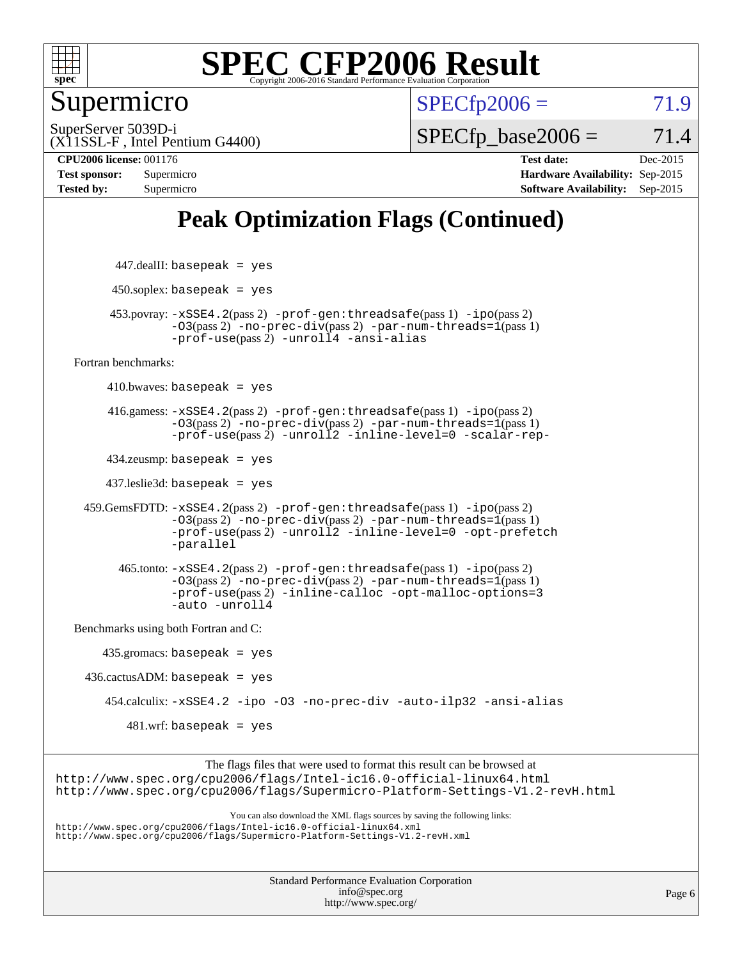

Supermicro

 $SPECfp2006 = 71.9$  $SPECfp2006 = 71.9$ 

(X11SSL-F , Intel Pentium G4400) SuperServer 5039D-i

 $SPECTp\_base2006 = 71.4$ 

**[CPU2006 license:](http://www.spec.org/auto/cpu2006/Docs/result-fields.html#CPU2006license)** 001176 **[Test date:](http://www.spec.org/auto/cpu2006/Docs/result-fields.html#Testdate)** Dec-2015

**[Test sponsor:](http://www.spec.org/auto/cpu2006/Docs/result-fields.html#Testsponsor)** Supermicro **[Hardware Availability:](http://www.spec.org/auto/cpu2006/Docs/result-fields.html#HardwareAvailability)** Sep-2015 **[Tested by:](http://www.spec.org/auto/cpu2006/Docs/result-fields.html#Testedby)** Supermicro **Supermicro [Software Availability:](http://www.spec.org/auto/cpu2006/Docs/result-fields.html#SoftwareAvailability)** Sep-2015

# **[Peak Optimization Flags \(Continued\)](http://www.spec.org/auto/cpu2006/Docs/result-fields.html#PeakOptimizationFlags)**

| $447$ .dealII: basepeak = yes                                                                                                                                                                                                     |  |
|-----------------------------------------------------------------------------------------------------------------------------------------------------------------------------------------------------------------------------------|--|
| $450$ .soplex: basepeak = yes                                                                                                                                                                                                     |  |
| $453.$ povray: $-xSSE4.2(pass2)$ -prof-gen: threadsafe(pass 1) -ipo(pass 2)<br>$-03$ (pass 2) -no-prec-div(pass 2) -par-num-threads= $1$ (pass 1)<br>-prof-use(pass 2) -unroll4 -ansi-alias                                       |  |
| Fortran benchmarks:                                                                                                                                                                                                               |  |
| $410.bwaves: basepeak = yes$                                                                                                                                                                                                      |  |
| $416$ .gamess: $-xSSE4$ . $2(pass 2)$ -prof-gen: threadsafe(pass 1) -ipo(pass 2)<br>$-03$ (pass 2) -no-prec-div(pass 2) -par-num-threads=1(pass 1)<br>-prof-use(pass 2) -unroll2 -inline-level=0 -scalar-rep-                     |  |
| $434$ .zeusmp: basepeak = yes                                                                                                                                                                                                     |  |
| $437$ .leslie3d: basepeak = yes                                                                                                                                                                                                   |  |
| $459.GemsFDTD: -xSSE4.2(pass2) -prof-gen:threadsafe(pass1) -ipo(pass2)$<br>-03(pass 2) -no-prec-div(pass 2) -par-num-threads=1(pass 1)<br>-prof-use(pass 2) -unroll2 -inline-level=0 -opt-prefetch<br>-parallel                   |  |
| $465$ .tonto: $-xSSE4$ . $2(pass 2)$ -prof-gen: threadsafe(pass 1) -ipo(pass 2)<br>$-03$ (pass 2) -no-prec-div(pass 2) -par-num-threads= $1$ (pass 1)<br>-prof-use(pass 2) -inline-calloc -opt-malloc-options=3<br>-auto -unroll4 |  |
| Benchmarks using both Fortran and C:                                                                                                                                                                                              |  |
| $435.\text{gromacs: basepeak}$ = yes                                                                                                                                                                                              |  |
| $436.cactusADM:basepeak = yes$                                                                                                                                                                                                    |  |
| 454.calculix: -xSSE4.2 -ipo -03 -no-prec-div -auto-ilp32 -ansi-alias                                                                                                                                                              |  |
| $481.wrf$ : basepeak = yes                                                                                                                                                                                                        |  |
| The flags files that were used to format this result can be browsed at<br>http://www.spec.org/cpu2006/flags/Intel-ic16.0-official-linux64.html<br>http://www.spec.org/cpu2006/flags/Supermicro-Platform-Settings-V1.2-revH.html   |  |
| You can also download the XML flags sources by saving the following links:<br>http://www.spec.org/cpu2006/flags/Intel-ic16.0-official-linux64.xml<br>http://www.spec.org/cpu2006/flags/Supermicro-Platform-Settings-V1.2-revH.xml |  |